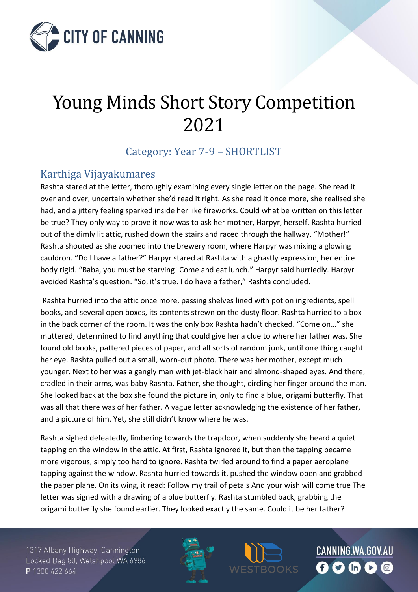

# Young Minds Short Story Competition 2021

Category: Year 7-9 – SHORTLIST

#### Karthiga Vijayakumares

Rashta stared at the letter, thoroughly examining every single letter on the page. She read it over and over, uncertain whether she'd read it right. As she read it once more, she realised she had, and a jittery feeling sparked inside her like fireworks. Could what be written on this letter be true? They only way to prove it now was to ask her mother, Harpyr, herself. Rashta hurried out of the dimly lit attic, rushed down the stairs and raced through the hallway. "Mother!" Rashta shouted as she zoomed into the brewery room, where Harpyr was mixing a glowing cauldron. "Do I have a father?" Harpyr stared at Rashta with a ghastly expression, her entire body rigid. "Baba, you must be starving! Come and eat lunch." Harpyr said hurriedly. Harpyr avoided Rashta's question. "So, it's true. I do have a father," Rashta concluded.

Rashta hurried into the attic once more, passing shelves lined with potion ingredients, spell books, and several open boxes, its contents strewn on the dusty floor. Rashta hurried to a box in the back corner of the room. It was the only box Rashta hadn't checked. "Come on…" she muttered, determined to find anything that could give her a clue to where her father was. She found old books, pattered pieces of paper, and all sorts of random junk, until one thing caught her eye. Rashta pulled out a small, worn-out photo. There was her mother, except much younger. Next to her was a gangly man with jet-black hair and almond-shaped eyes. And there, cradled in their arms, was baby Rashta. Father, she thought, circling her finger around the man. She looked back at the box she found the picture in, only to find a blue, origami butterfly. That was all that there was of her father. A vague letter acknowledging the existence of her father, and a picture of him. Yet, she still didn't know where he was.

Rashta sighed defeatedly, limbering towards the trapdoor, when suddenly she heard a quiet tapping on the window in the attic. At first, Rashta ignored it, but then the tapping became more vigorous, simply too hard to ignore. Rashta twirled around to find a paper aeroplane tapping against the window. Rashta hurried towards it, pushed the window open and grabbed the paper plane. On its wing, it read: Follow my trail of petals And your wish will come true The letter was signed with a drawing of a blue butterfly. Rashta stumbled back, grabbing the origami butterfly she found earlier. They looked exactly the same. Could it be her father?

1317 Albany Highway, Cannington Locked Bag 80, Welshpool WA 6986 P 1300 422 664

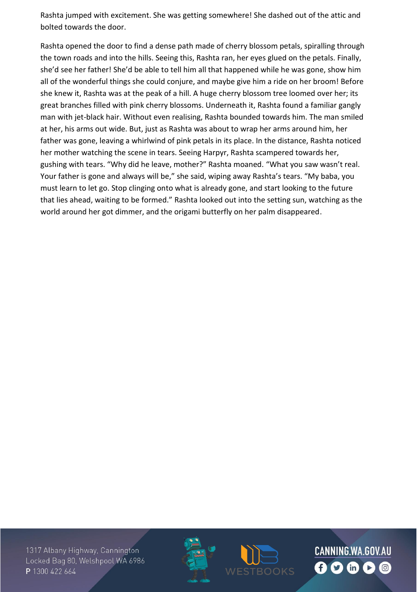Rashta jumped with excitement. She was getting somewhere! She dashed out of the attic and bolted towards the door.

Rashta opened the door to find a dense path made of cherry blossom petals, spiralling through the town roads and into the hills. Seeing this, Rashta ran, her eyes glued on the petals. Finally, she'd see her father! She'd be able to tell him all that happened while he was gone, show him all of the wonderful things she could conjure, and maybe give him a ride on her broom! Before she knew it, Rashta was at the peak of a hill. A huge cherry blossom tree loomed over her; its great branches filled with pink cherry blossoms. Underneath it, Rashta found a familiar gangly man with jet-black hair. Without even realising, Rashta bounded towards him. The man smiled at her, his arms out wide. But, just as Rashta was about to wrap her arms around him, her father was gone, leaving a whirlwind of pink petals in its place. In the distance, Rashta noticed her mother watching the scene in tears. Seeing Harpyr, Rashta scampered towards her, gushing with tears. "Why did he leave, mother?" Rashta moaned. "What you saw wasn't real. Your father is gone and always will be," she said, wiping away Rashta's tears. "My baba, you must learn to let go. Stop clinging onto what is already gone, and start looking to the future that lies ahead, waiting to be formed." Rashta looked out into the setting sun, watching as the world around her got dimmer, and the origami butterfly on her palm disappeared.

1317 Albany Highway, Cannington Locked Bag 80, Welshpool WA 6986 P 1300 422 664



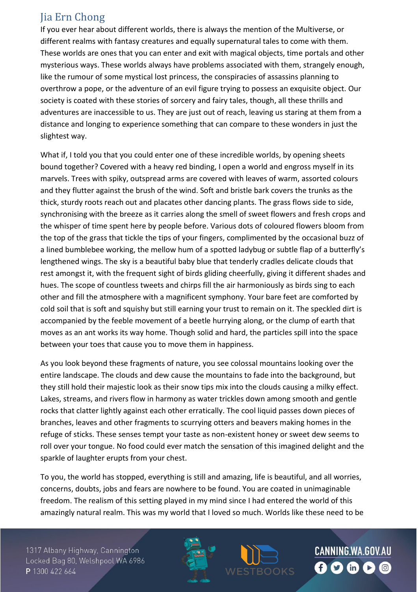## Jia Ern Chong

If you ever hear about different worlds, there is always the mention of the Multiverse, or different realms with fantasy creatures and equally supernatural tales to come with them. These worlds are ones that you can enter and exit with magical objects, time portals and other mysterious ways. These worlds always have problems associated with them, strangely enough, like the rumour of some mystical lost princess, the conspiracies of assassins planning to overthrow a pope, or the adventure of an evil figure trying to possess an exquisite object. Our society is coated with these stories of sorcery and fairy tales, though, all these thrills and adventures are inaccessible to us. They are just out of reach, leaving us staring at them from a distance and longing to experience something that can compare to these wonders in just the slightest way.

What if, I told you that you could enter one of these incredible worlds, by opening sheets bound together? Covered with a heavy red binding, I open a world and engross myself in its marvels. Trees with spiky, outspread arms are covered with leaves of warm, assorted colours and they flutter against the brush of the wind. Soft and bristle bark covers the trunks as the thick, sturdy roots reach out and placates other dancing plants. The grass flows side to side, synchronising with the breeze as it carries along the smell of sweet flowers and fresh crops and the whisper of time spent here by people before. Various dots of coloured flowers bloom from the top of the grass that tickle the tips of your fingers, complimented by the occasional buzz of a lined bumblebee working, the mellow hum of a spotted ladybug or subtle flap of a butterfly's lengthened wings. The sky is a beautiful baby blue that tenderly cradles delicate clouds that rest amongst it, with the frequent sight of birds gliding cheerfully, giving it different shades and hues. The scope of countless tweets and chirps fill the air harmoniously as birds sing to each other and fill the atmosphere with a magnificent symphony. Your bare feet are comforted by cold soil that is soft and squishy but still earning your trust to remain on it. The speckled dirt is accompanied by the feeble movement of a beetle hurrying along, or the clump of earth that moves as an ant works its way home. Though solid and hard, the particles spill into the space between your toes that cause you to move them in happiness.

As you look beyond these fragments of nature, you see colossal mountains looking over the entire landscape. The clouds and dew cause the mountains to fade into the background, but they still hold their majestic look as their snow tips mix into the clouds causing a milky effect. Lakes, streams, and rivers flow in harmony as water trickles down among smooth and gentle rocks that clatter lightly against each other erratically. The cool liquid passes down pieces of branches, leaves and other fragments to scurrying otters and beavers making homes in the refuge of sticks. These senses tempt your taste as non-existent honey or sweet dew seems to roll over your tongue. No food could ever match the sensation of this imagined delight and the sparkle of laughter erupts from your chest.

To you, the world has stopped, everything is still and amazing, life is beautiful, and all worries, concerns, doubts, jobs and fears are nowhere to be found. You are coated in unimaginable freedom. The realism of this setting played in my mind since I had entered the world of this amazingly natural realm. This was my world that I loved so much. Worlds like these need to be

1317 Albany Highway, Cannington Locked Bag 80, Welshpool WA 6986 P 1300 422 664



CANNING.WA.GOV.AU

BOOKS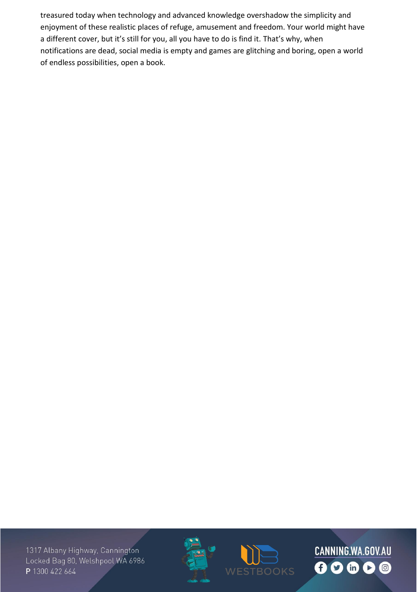treasured today when technology and advanced knowledge overshadow the simplicity and enjoyment of these realistic places of refuge, amusement and freedom. Your world might have a different cover, but it's still for you, all you have to do is find it. That's why, when notifications are dead, social media is empty and games are glitching and boring, open a world of endless possibilities, open a book.





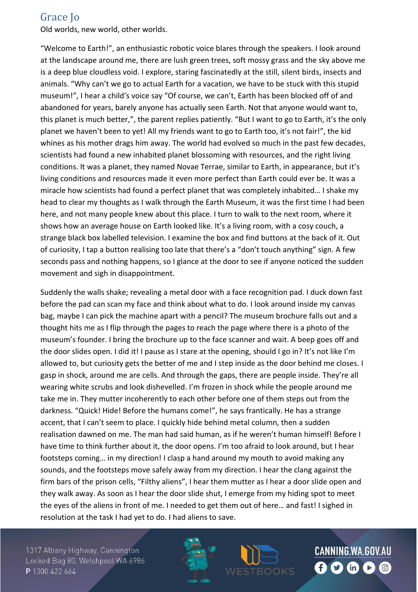#### Grace Jo

Old worlds, new world, other worlds.

"Welcome to Earth!", an enthusiastic robotic voice blares through the speakers. I look around at the landscape around me, there are lush green trees, soft mossy grass and the sky above me is a deep blue cloudless void. I explore, staring fascinatedly at the still, silent birds, insects and animals. "Why can't we go to actual Earth for a vacation, we have to be stuck with this stupid museum!", I hear a child's voice say "Of course, we can't, Earth has been blocked off of and abandoned for years, barely anyone has actually seen Earth. Not that anyone would want to, this planet is much better,", the parent replies patiently. "But I want to go to Earth, it's the only planet we haven't been to yet! All my friends want to go to Earth too, it's not fair!", the kid whines as his mother drags him away. The world had evolved so much in the past few decades, scientists had found a new inhabited planet blossoming with resources, and the right living conditions. It was a planet, they named Novae Terrae, similar to Earth, in appearance, but it's living conditions and resources made it even more perfect than Earth could ever be. It was a miracle how scientists had found a perfect planet that was completely inhabited… I shake my head to clear my thoughts as I walk through the Earth Museum, it was the first time I had been here, and not many people knew about this place. I turn to walk to the next room, where it shows how an average house on Earth looked like. It's a living room, with a cosy couch, a strange black box labelled television. I examine the box and find buttons at the back of it. Out of curiosity, I tap a button realising too late that there's a "don't touch anything" sign. A few seconds pass and nothing happens, so I glance at the door to see if anyone noticed the sudden movement and sigh in disappointment.

Suddenly the walls shake; revealing a metal door with a face recognition pad. I duck down fast before the pad can scan my face and think about what to do. I look around inside my canvas bag, maybe I can pick the machine apart with a pencil? The museum brochure falls out and a thought hits me as I flip through the pages to reach the page where there is a photo of the museum's founder. I bring the brochure up to the face scanner and wait. A beep goes off and the door slides open. I did it! I pause as I stare at the opening, should I go in? It's not like I'm allowed to, but curiosity gets the better of me and I step inside as the door behind me closes. I gasp in shock, around me are cells. And through the gaps, there are people inside. They're all wearing white scrubs and look dishevelled. I'm frozen in shock while the people around me take me in. They mutter incoherently to each other before one of them steps out from the darkness. "Quick! Hide! Before the humans come!", he says frantically. He has a strange accent, that I can't seem to place. I quickly hide behind metal column, then a sudden realisation dawned on me. The man had said human, as if he weren't human himself! Before I have time to think further about it, the door opens. I'm too afraid to look around, but I hear footsteps coming… in my direction! I clasp a hand around my mouth to avoid making any sounds, and the footsteps move safely away from my direction. I hear the clang against the firm bars of the prison cells, "Filthy aliens", I hear them mutter as I hear a door slide open and they walk away. As soon as I hear the door slide shut, I emerge from my hiding spot to meet the eyes of the aliens in front of me. I needed to get them out of here… and fast! I sighed in resolution at the task I had yet to do. I had aliens to save.

1317 Albany Highway, Cannington Locked Bag 80, Welshpool WA 6986 P 1300 422 664



CANNING.WA.GOV.AU

BOOKS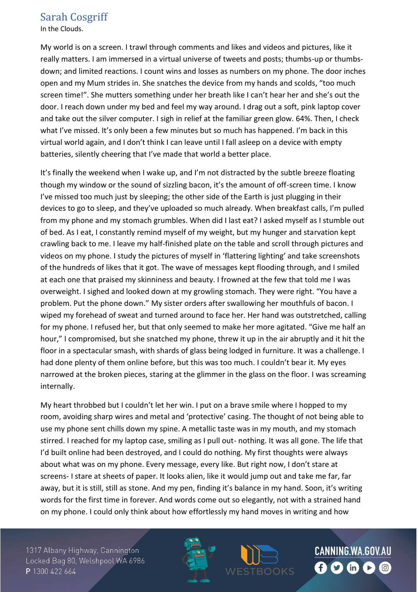#### Sarah Cosgriff

In the Clouds.

My world is on a screen. I trawl through comments and likes and videos and pictures, like it really matters. I am immersed in a virtual universe of tweets and posts; thumbs-up or thumbsdown; and limited reactions. I count wins and losses as numbers on my phone. The door inches open and my Mum strides in. She snatches the device from my hands and scolds, "too much screen time!". She mutters something under her breath like I can't hear her and she's out the door. I reach down under my bed and feel my way around. I drag out a soft, pink laptop cover and take out the silver computer. I sigh in relief at the familiar green glow. 64%. Then, I check what I've missed. It's only been a few minutes but so much has happened. I'm back in this virtual world again, and I don't think I can leave until I fall asleep on a device with empty batteries, silently cheering that I've made that world a better place.

It's finally the weekend when I wake up, and I'm not distracted by the subtle breeze floating though my window or the sound of sizzling bacon, it's the amount of off-screen time. I know I've missed too much just by sleeping; the other side of the Earth is just plugging in their devices to go to sleep, and they've uploaded so much already. When breakfast calls, I'm pulled from my phone and my stomach grumbles. When did I last eat? I asked myself as I stumble out of bed. As I eat, I constantly remind myself of my weight, but my hunger and starvation kept crawling back to me. I leave my half-finished plate on the table and scroll through pictures and videos on my phone. I study the pictures of myself in 'flattering lighting' and take screenshots of the hundreds of likes that it got. The wave of messages kept flooding through, and I smiled at each one that praised my skinniness and beauty. I frowned at the few that told me I was overweight. I sighed and looked down at my growling stomach. They were right. "You have a problem. Put the phone down." My sister orders after swallowing her mouthfuls of bacon. I wiped my forehead of sweat and turned around to face her. Her hand was outstretched, calling for my phone. I refused her, but that only seemed to make her more agitated. "Give me half an hour," I compromised, but she snatched my phone, threw it up in the air abruptly and it hit the floor in a spectacular smash, with shards of glass being lodged in furniture. It was a challenge. I had done plenty of them online before, but this was too much. I couldn't bear it. My eyes narrowed at the broken pieces, staring at the glimmer in the glass on the floor. I was screaming internally.

My heart throbbed but I couldn't let her win. I put on a brave smile where I hopped to my room, avoiding sharp wires and metal and 'protective' casing. The thought of not being able to use my phone sent chills down my spine. A metallic taste was in my mouth, and my stomach stirred. I reached for my laptop case, smiling as I pull out- nothing. It was all gone. The life that I'd built online had been destroyed, and I could do nothing. My first thoughts were always about what was on my phone. Every message, every like. But right now, I don't stare at screens- I stare at sheets of paper. It looks alien, like it would jump out and take me far, far away, but it is still, still as stone. And my pen, finding it's balance in my hand. Soon, it's writing words for the first time in forever. And words come out so elegantly, not with a strained hand on my phone. I could only think about how effortlessly my hand moves in writing and how

1317 Albany Highway, Cannington Locked Bag 80, Welshpool WA 6986 P 1300 422 664

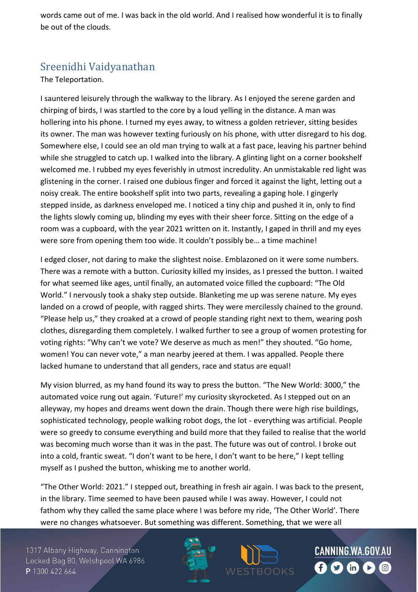words came out of me. I was back in the old world. And I realised how wonderful it is to finally be out of the clouds.

## Sreenidhi Vaidyanathan

The Teleportation.

I sauntered leisurely through the walkway to the library. As I enjoyed the serene garden and chirping of birds, I was startled to the core by a loud yelling in the distance. A man was hollering into his phone. I turned my eyes away, to witness a golden retriever, sitting besides its owner. The man was however texting furiously on his phone, with utter disregard to his dog. Somewhere else, I could see an old man trying to walk at a fast pace, leaving his partner behind while she struggled to catch up. I walked into the library. A glinting light on a corner bookshelf welcomed me. I rubbed my eyes feverishly in utmost incredulity. An unmistakable red light was glistening in the corner. I raised one dubious finger and forced it against the light, letting out a noisy creak. The entire bookshelf split into two parts, revealing a gaping hole. I gingerly stepped inside, as darkness enveloped me. I noticed a tiny chip and pushed it in, only to find the lights slowly coming up, blinding my eyes with their sheer force. Sitting on the edge of a room was a cupboard, with the year 2021 written on it. Instantly, I gaped in thrill and my eyes were sore from opening them too wide. It couldn't possibly be… a time machine!

I edged closer, not daring to make the slightest noise. Emblazoned on it were some numbers. There was a remote with a button. Curiosity killed my insides, as I pressed the button. I waited for what seemed like ages, until finally, an automated voice filled the cupboard: "The Old World." I nervously took a shaky step outside. Blanketing me up was serene nature. My eyes landed on a crowd of people, with ragged shirts. They were mercilessly chained to the ground. "Please help us," they croaked at a crowd of people standing right next to them, wearing posh clothes, disregarding them completely. I walked further to see a group of women protesting for voting rights: "Why can't we vote? We deserve as much as men!" they shouted. "Go home, women! You can never vote," a man nearby jeered at them. I was appalled. People there lacked humane to understand that all genders, race and status are equal!

My vision blurred, as my hand found its way to press the button. "The New World: 3000," the automated voice rung out again. 'Future!' my curiosity skyrocketed. As I stepped out on an alleyway, my hopes and dreams went down the drain. Though there were high rise buildings, sophisticated technology, people walking robot dogs, the lot - everything was artificial. People were so greedy to consume everything and build more that they failed to realise that the world was becoming much worse than it was in the past. The future was out of control. I broke out into a cold, frantic sweat. "I don't want to be here, I don't want to be here," I kept telling myself as I pushed the button, whisking me to another world.

"The Other World: 2021." I stepped out, breathing in fresh air again. I was back to the present, in the library. Time seemed to have been paused while I was away. However, I could not fathom why they called the same place where I was before my ride, 'The Other World'. There were no changes whatsoever. But something was different. Something, that we were all

1317 Albany Highway, Cannington Locked Bag 80, Welshpool WA 6986 P 1300 422 664



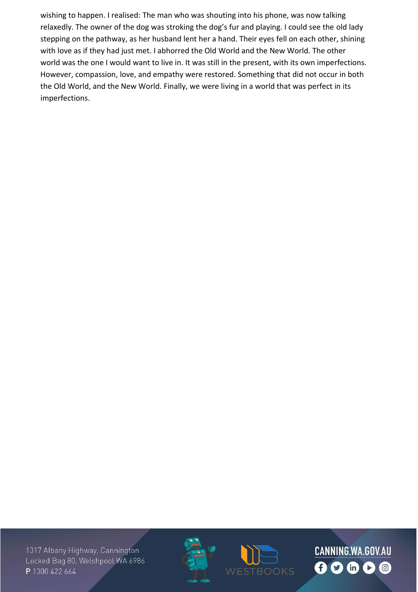wishing to happen. I realised: The man who was shouting into his phone, was now talking relaxedly. The owner of the dog was stroking the dog's fur and playing. I could see the old lady stepping on the pathway, as her husband lent her a hand. Their eyes fell on each other, shining with love as if they had just met. I abhorred the Old World and the New World. The other world was the one I would want to live in. It was still in the present, with its own imperfections. However, compassion, love, and empathy were restored. Something that did not occur in both the Old World, and the New World. Finally, we were living in a world that was perfect in its imperfections.





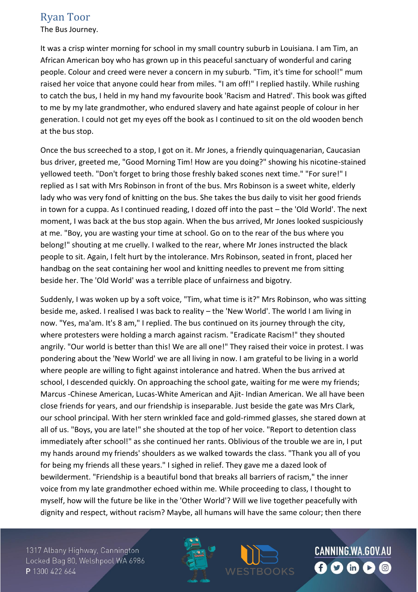#### Ryan Toor

The Bus Journey.

It was a crisp winter morning for school in my small country suburb in Louisiana. I am Tim, an African American boy who has grown up in this peaceful sanctuary of wonderful and caring people. Colour and creed were never a concern in my suburb. "Tim, it's time for school!" mum raised her voice that anyone could hear from miles. "I am off!" I replied hastily. While rushing to catch the bus, I held in my hand my favourite book 'Racism and Hatred'. This book was gifted to me by my late grandmother, who endured slavery and hate against people of colour in her generation. I could not get my eyes off the book as I continued to sit on the old wooden bench at the bus stop.

Once the bus screeched to a stop, I got on it. Mr Jones, a friendly quinquagenarian, Caucasian bus driver, greeted me, "Good Morning Tim! How are you doing?" showing his nicotine-stained yellowed teeth. "Don't forget to bring those freshly baked scones next time." "For sure!" I replied as I sat with Mrs Robinson in front of the bus. Mrs Robinson is a sweet white, elderly lady who was very fond of knitting on the bus. She takes the bus daily to visit her good friends in town for a cuppa. As I continued reading, I dozed off into the past – the 'Old World'. The next moment, I was back at the bus stop again. When the bus arrived, Mr Jones looked suspiciously at me. "Boy, you are wasting your time at school. Go on to the rear of the bus where you belong!" shouting at me cruelly. I walked to the rear, where Mr Jones instructed the black people to sit. Again, I felt hurt by the intolerance. Mrs Robinson, seated in front, placed her handbag on the seat containing her wool and knitting needles to prevent me from sitting beside her. The 'Old World' was a terrible place of unfairness and bigotry.

Suddenly, I was woken up by a soft voice, "Tim, what time is it?" Mrs Robinson, who was sitting beside me, asked. I realised I was back to reality – the 'New World'. The world I am living in now. "Yes, ma'am. It's 8 am," I replied. The bus continued on its journey through the city, where protesters were holding a march against racism. "Eradicate Racism!" they shouted angrily. "Our world is better than this! We are all one!" They raised their voice in protest. I was pondering about the 'New World' we are all living in now. I am grateful to be living in a world where people are willing to fight against intolerance and hatred. When the bus arrived at school, I descended quickly. On approaching the school gate, waiting for me were my friends; Marcus -Chinese American, Lucas-White American and Ajit- Indian American. We all have been close friends for years, and our friendship is inseparable. Just beside the gate was Mrs Clark, our school principal. With her stern wrinkled face and gold-rimmed glasses, she stared down at all of us. "Boys, you are late!" she shouted at the top of her voice. "Report to detention class immediately after school!" as she continued her rants. Oblivious of the trouble we are in, I put my hands around my friends' shoulders as we walked towards the class. "Thank you all of you for being my friends all these years." I sighed in relief. They gave me a dazed look of bewilderment. "Friendship is a beautiful bond that breaks all barriers of racism," the inner voice from my late grandmother echoed within me. While proceeding to class, I thought to myself, how will the future be like in the 'Other World'? Will we live together peacefully with dignity and respect, without racism? Maybe, all humans will have the same colour; then there

1317 Albany Highway, Cannington Locked Bag 80, Welshpool WA 6986 P 1300 422 664

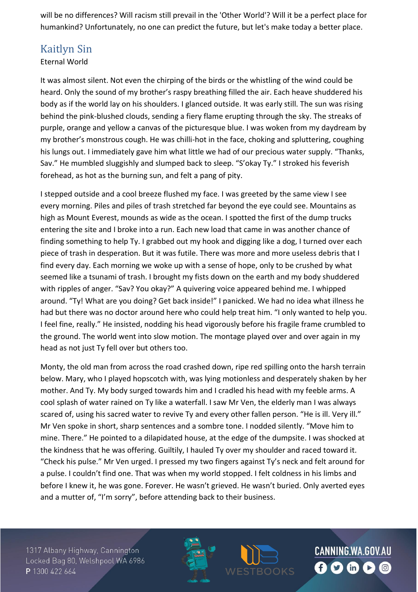will be no differences? Will racism still prevail in the 'Other World'? Will it be a perfect place for humankind? Unfortunately, no one can predict the future, but let's make today a better place.

#### Kaitlyn Sin

#### Eternal World

It was almost silent. Not even the chirping of the birds or the whistling of the wind could be heard. Only the sound of my brother's raspy breathing filled the air. Each heave shuddered his body as if the world lay on his shoulders. I glanced outside. It was early still. The sun was rising behind the pink-blushed clouds, sending a fiery flame erupting through the sky. The streaks of purple, orange and yellow a canvas of the picturesque blue. I was woken from my daydream by my brother's monstrous cough. He was chilli-hot in the face, choking and spluttering, coughing his lungs out. I immediately gave him what little we had of our precious water supply. "Thanks, Sav." He mumbled sluggishly and slumped back to sleep. "S'okay Ty." I stroked his feverish forehead, as hot as the burning sun, and felt a pang of pity.

I stepped outside and a cool breeze flushed my face. I was greeted by the same view I see every morning. Piles and piles of trash stretched far beyond the eye could see. Mountains as high as Mount Everest, mounds as wide as the ocean. I spotted the first of the dump trucks entering the site and I broke into a run. Each new load that came in was another chance of finding something to help Ty. I grabbed out my hook and digging like a dog, I turned over each piece of trash in desperation. But it was futile. There was more and more useless debris that I find every day. Each morning we woke up with a sense of hope, only to be crushed by what seemed like a tsunami of trash. I brought my fists down on the earth and my body shuddered with ripples of anger. "Sav? You okay?" A quivering voice appeared behind me. I whipped around. "Ty! What are you doing? Get back inside!" I panicked. We had no idea what illness he had but there was no doctor around here who could help treat him. "I only wanted to help you. I feel fine, really." He insisted, nodding his head vigorously before his fragile frame crumbled to the ground. The world went into slow motion. The montage played over and over again in my head as not just Ty fell over but others too.

Monty, the old man from across the road crashed down, ripe red spilling onto the harsh terrain below. Mary, who I played hopscotch with, was lying motionless and desperately shaken by her mother. And Ty. My body surged towards him and I cradled his head with my feeble arms. A cool splash of water rained on Ty like a waterfall. I saw Mr Ven, the elderly man I was always scared of, using his sacred water to revive Ty and every other fallen person. "He is ill. Very ill." Mr Ven spoke in short, sharp sentences and a sombre tone. I nodded silently. "Move him to mine. There." He pointed to a dilapidated house, at the edge of the dumpsite. I was shocked at the kindness that he was offering. Guiltily, I hauled Ty over my shoulder and raced toward it. "Check his pulse." Mr Ven urged. I pressed my two fingers against Ty's neck and felt around for a pulse. I couldn't find one. That was when my world stopped. I felt coldness in his limbs and before I knew it, he was gone. Forever. He wasn't grieved. He wasn't buried. Only averted eyes and a mutter of, "I'm sorry", before attending back to their business.

1317 Albany Highway, Cannington Locked Bag 80, Welshpool WA 6986 P 1300 422 664



CANNING.WA.GOV.AU BOOKS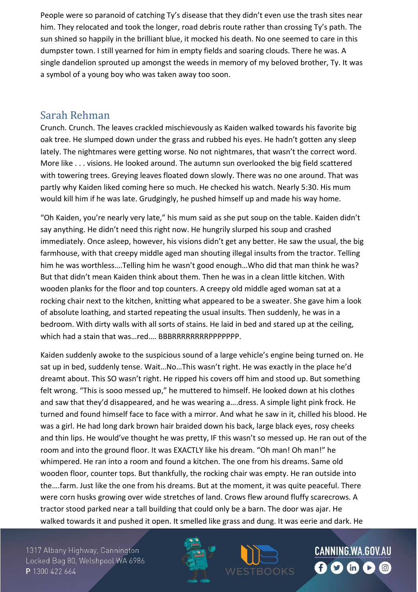People were so paranoid of catching Ty's disease that they didn't even use the trash sites near him. They relocated and took the longer, road debris route rather than crossing Ty's path. The sun shined so happily in the brilliant blue, it mocked his death. No one seemed to care in this dumpster town. I still yearned for him in empty fields and soaring clouds. There he was. A single dandelion sprouted up amongst the weeds in memory of my beloved brother, Ty. It was a symbol of a young boy who was taken away too soon.

#### Sarah Rehman

Crunch. Crunch. The leaves crackled mischievously as Kaiden walked towards his favorite big oak tree. He slumped down under the grass and rubbed his eyes. He hadn't gotten any sleep lately. The nightmares were getting worse. No not nightmares, that wasn't the correct word. More like . . . visions. He looked around. The autumn sun overlooked the big field scattered with towering trees. Greying leaves floated down slowly. There was no one around. That was partly why Kaiden liked coming here so much. He checked his watch. Nearly 5:30. His mum would kill him if he was late. Grudgingly, he pushed himself up and made his way home.

"Oh Kaiden, you're nearly very late," his mum said as she put soup on the table. Kaiden didn't say anything. He didn't need this right now. He hungrily slurped his soup and crashed immediately. Once asleep, however, his visions didn't get any better. He saw the usual, the big farmhouse, with that creepy middle aged man shouting illegal insults from the tractor. Telling him he was worthless….Telling him he wasn't good enough…Who did that man think he was? But that didn't mean Kaiden think about them. Then he was in a clean little kitchen. With wooden planks for the floor and top counters. A creepy old middle aged woman sat at a rocking chair next to the kitchen, knitting what appeared to be a sweater. She gave him a look of absolute loathing, and started repeating the usual insults. Then suddenly, he was in a bedroom. With dirty walls with all sorts of stains. He laid in bed and stared up at the ceiling, which had a stain that was…red…. BBBRRRRRRRRPPPPPPP.

Kaiden suddenly awoke to the suspicious sound of a large vehicle's engine being turned on. He sat up in bed, suddenly tense. Wait…No…This wasn't right. He was exactly in the place he'd dreamt about. This SO wasn't right. He ripped his covers off him and stood up. But something felt wrong. "This is sooo messed up," he muttered to himself. He looked down at his clothes and saw that they'd disappeared, and he was wearing a….dress. A simple light pink frock. He turned and found himself face to face with a mirror. And what he saw in it, chilled his blood. He was a girl. He had long dark brown hair braided down his back, large black eyes, rosy cheeks and thin lips. He would've thought he was pretty, IF this wasn't so messed up. He ran out of the room and into the ground floor. It was EXACTLY like his dream. "Oh man! Oh man!" he whimpered. He ran into a room and found a kitchen. The one from his dreams. Same old wooden floor, counter tops. But thankfully, the rocking chair was empty. He ran outside into the….farm. Just like the one from his dreams. But at the moment, it was quite peaceful. There were corn husks growing over wide stretches of land. Crows flew around fluffy scarecrows. A tractor stood parked near a tall building that could only be a barn. The door was ajar. He walked towards it and pushed it open. It smelled like grass and dung. It was eerie and dark. He

1317 Albany Highway, Cannington Locked Bag 80, Welshpool WA 6986 P 1300 422 664



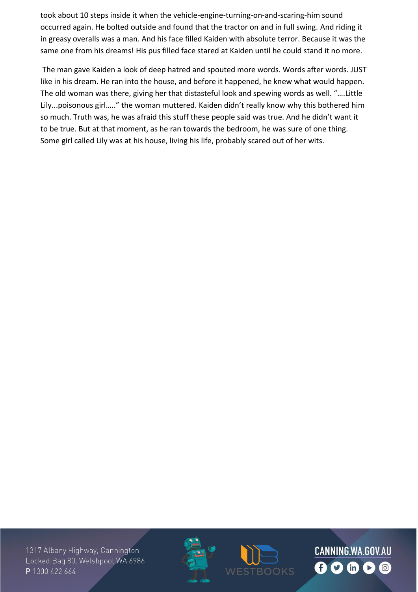took about 10 steps inside it when the vehicle-engine-turning-on-and-scaring-him sound occurred again. He bolted outside and found that the tractor on and in full swing. And riding it in greasy overalls was a man. And his face filled Kaiden with absolute terror. Because it was the same one from his dreams! His pus filled face stared at Kaiden until he could stand it no more.

The man gave Kaiden a look of deep hatred and spouted more words. Words after words. JUST like in his dream. He ran into the house, and before it happened, he knew what would happen. The old woman was there, giving her that distasteful look and spewing words as well. "….Little Lily...poisonous girl….." the woman muttered. Kaiden didn't really know why this bothered him so much. Truth was, he was afraid this stuff these people said was true. And he didn't want it to be true. But at that moment, as he ran towards the bedroom, he was sure of one thing. Some girl called Lily was at his house, living his life, probably scared out of her wits.

1317 Albany Highway, Cannington Locked Bag 80, Welshpool WA 6986 P 1300 422 664



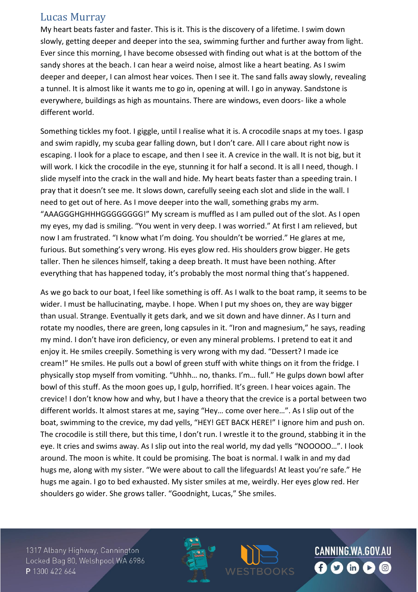#### Lucas Murray

My heart beats faster and faster. This is it. This is the discovery of a lifetime. I swim down slowly, getting deeper and deeper into the sea, swimming further and further away from light. Ever since this morning, I have become obsessed with finding out what is at the bottom of the sandy shores at the beach. I can hear a weird noise, almost like a heart beating. As I swim deeper and deeper, I can almost hear voices. Then I see it. The sand falls away slowly, revealing a tunnel. It is almost like it wants me to go in, opening at will. I go in anyway. Sandstone is everywhere, buildings as high as mountains. There are windows, even doors- like a whole different world.

Something tickles my foot. I giggle, until I realise what it is. A crocodile snaps at my toes. I gasp and swim rapidly, my scuba gear falling down, but I don't care. All I care about right now is escaping. I look for a place to escape, and then I see it. A crevice in the wall. It is not big, but it will work. I kick the crocodile in the eye, stunning it for half a second. It is all I need, though. I slide myself into the crack in the wall and hide. My heart beats faster than a speeding train. I pray that it doesn't see me. It slows down, carefully seeing each slot and slide in the wall. I need to get out of here. As I move deeper into the wall, something grabs my arm. "AAAGGGHGHHHGGGGGGGG!" My scream is muffled as I am pulled out of the slot. As I open my eyes, my dad is smiling. "You went in very deep. I was worried." At first I am relieved, but now I am frustrated. "I know what I'm doing. You shouldn't be worried." He glares at me, furious. But something's very wrong. His eyes glow red. His shoulders grow bigger. He gets taller. Then he silences himself, taking a deep breath. It must have been nothing. After everything that has happened today, it's probably the most normal thing that's happened.

As we go back to our boat, I feel like something is off. As I walk to the boat ramp, it seems to be wider. I must be hallucinating, maybe. I hope. When I put my shoes on, they are way bigger than usual. Strange. Eventually it gets dark, and we sit down and have dinner. As I turn and rotate my noodles, there are green, long capsules in it. "Iron and magnesium," he says, reading my mind. I don't have iron deficiency, or even any mineral problems. I pretend to eat it and enjoy it. He smiles creepily. Something is very wrong with my dad. "Dessert? I made ice cream!" He smiles. He pulls out a bowl of green stuff with white things on it from the fridge. I physically stop myself from vomiting. "Uhhh… no, thanks. I'm… full." He gulps down bowl after bowl of this stuff. As the moon goes up, I gulp, horrified. It's green. I hear voices again. The crevice! I don't know how and why, but I have a theory that the crevice is a portal between two different worlds. It almost stares at me, saying "Hey… come over here…". As I slip out of the boat, swimming to the crevice, my dad yells, "HEY! GET BACK HERE!" I ignore him and push on. The crocodile is still there, but this time, I don't run. I wrestle it to the ground, stabbing it in the eye. It cries and swims away. As I slip out into the real world, my dad yells "NOOOOO…". I look around. The moon is white. It could be promising. The boat is normal. I walk in and my dad hugs me, along with my sister. "We were about to call the lifeguards! At least you're safe." He hugs me again. I go to bed exhausted. My sister smiles at me, weirdly. Her eyes glow red. Her shoulders go wider. She grows taller. "Goodnight, Lucas," She smiles.

1317 Albany Highway, Cannington Locked Bag 80, Welshpool WA 6986 P 1300 422 664



BOOKS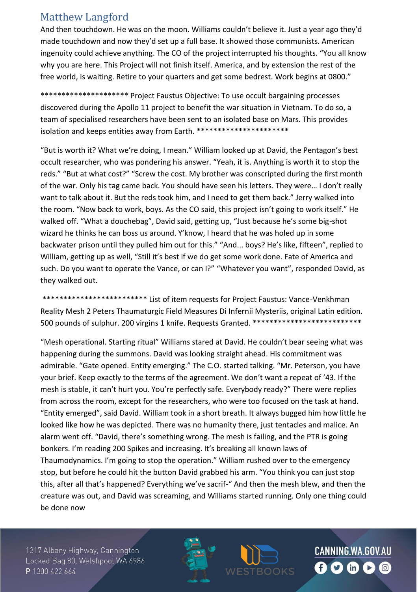## Matthew Langford

And then touchdown. He was on the moon. Williams couldn't believe it. Just a year ago they'd made touchdown and now they'd set up a full base. It showed those communists. American ingenuity could achieve anything. The CO of the project interrupted his thoughts. "You all know why you are here. This Project will not finish itself. America, and by extension the rest of the free world, is waiting. Retire to your quarters and get some bedrest. Work begins at 0800."

\*\*\*\*\*\*\*\*\*\*\*\*\*\*\*\*\*\*\*\*\* Project Faustus Objective: To use occult bargaining processes discovered during the Apollo 11 project to benefit the war situation in Vietnam. To do so, a team of specialised researchers have been sent to an isolated base on Mars. This provides isolation and keeps entities away from Earth. \*\*\*\*\*\*\*\*\*\*\*\*\*\*\*\*\*\*\*\*\*\*

"But is worth it? What we're doing, I mean." William looked up at David, the Pentagon's best occult researcher, who was pondering his answer. "Yeah, it is. Anything is worth it to stop the reds." "But at what cost?" "Screw the cost. My brother was conscripted during the first month of the war. Only his tag came back. You should have seen his letters. They were… I don't really want to talk about it. But the reds took him, and I need to get them back." Jerry walked into the room. "Now back to work, boys. As the CO said, this project isn't going to work itself." He walked off. "What a douchebag", David said, getting up, "Just because he's some big-shot wizard he thinks he can boss us around. Y'know, I heard that he was holed up in some backwater prison until they pulled him out for this." "And... boys? He's like, fifteen", replied to William, getting up as well, "Still it's best if we do get some work done. Fate of America and such. Do you want to operate the Vance, or can I?" "Whatever you want", responded David, as they walked out.

\*\*\*\*\*\*\*\*\*\*\*\*\*\*\*\*\*\*\*\*\*\*\*\*\* List of item requests for Project Faustus: Vance-Venkhman Reality Mesh 2 Peters Thaumaturgic Field Measures Di Infernii Mysteriis, original Latin edition. 500 pounds of sulphur. 200 virgins 1 knife. Requests Granted. \*\*\*\*\*\*\*\*\*\*\*\*\*\*\*\*\*\*\*\*\*\*\*\*\*\*

"Mesh operational. Starting ritual" Williams stared at David. He couldn't bear seeing what was happening during the summons. David was looking straight ahead. His commitment was admirable. "Gate opened. Entity emerging." The C.O. started talking. "Mr. Peterson, you have your brief. Keep exactly to the terms of the agreement. We don't want a repeat of '43. If the mesh is stable, it can't hurt you. You're perfectly safe. Everybody ready?" There were replies from across the room, except for the researchers, who were too focused on the task at hand. "Entity emerged", said David. William took in a short breath. It always bugged him how little he looked like how he was depicted. There was no humanity there, just tentacles and malice. An alarm went off. "David, there's something wrong. The mesh is failing, and the PTR is going bonkers. I'm reading 200 Spikes and increasing. It's breaking all known laws of Thaumodynamics. I'm going to stop the operation." William rushed over to the emergency stop, but before he could hit the button David grabbed his arm. "You think you can just stop this, after all that's happened? Everything we've sacrif-" And then the mesh blew, and then the creature was out, and David was screaming, and Williams started running. Only one thing could be done now

1317 Albany Highway, Cannington Locked Bag 80, Welshpool WA 6986 P 1300 422 664

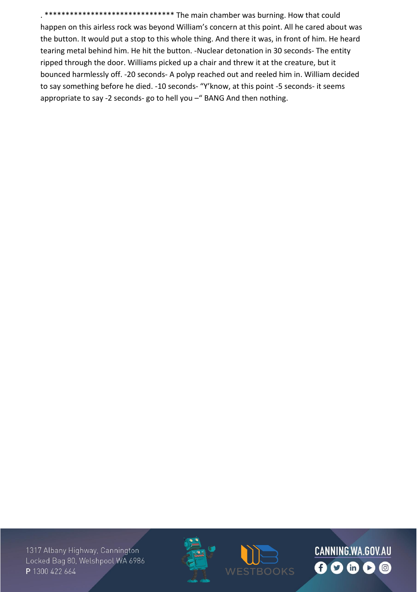\*\*\*\*\*\*\*\*\*\*\*\* The main chamber was burning. How that could happen on this airless rock was beyond William's concern at this point. All he cared about was the button. It would put a stop to this whole thing. And there it was, in front of him. He heard tearing metal behind him. He hit the button. -Nuclear detonation in 30 seconds- The entity ripped through the door. Williams picked up a chair and threw it at the creature, but it bounced harmlessly off. -20 seconds- A polyp reached out and reeled him in. William decided to say something before he died. -10 seconds- "Y'know, at this point -5 seconds- it seems appropriate to say -2 seconds- go to hell you -" BANG And then nothing.





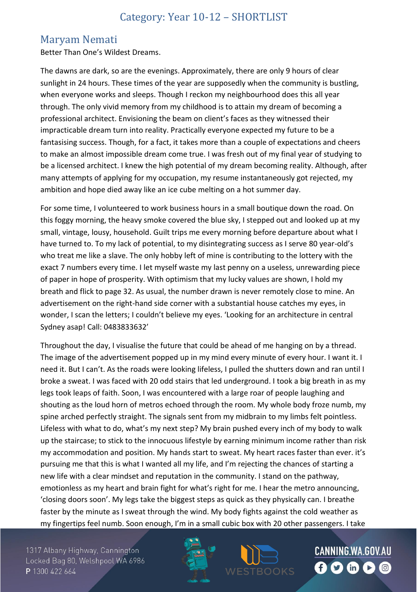## Category: Year 10-12 – SHORTLIST

#### Maryam Nemati

Better Than One's Wildest Dreams.

The dawns are dark, so are the evenings. Approximately, there are only 9 hours of clear sunlight in 24 hours. These times of the year are supposedly when the community is bustling, when everyone works and sleeps. Though I reckon my neighbourhood does this all year through. The only vivid memory from my childhood is to attain my dream of becoming a professional architect. Envisioning the beam on client's faces as they witnessed their impracticable dream turn into reality. Practically everyone expected my future to be a fantasising success. Though, for a fact, it takes more than a couple of expectations and cheers to make an almost impossible dream come true. I was fresh out of my final year of studying to be a licensed architect. I knew the high potential of my dream becoming reality. Although, after many attempts of applying for my occupation, my resume instantaneously got rejected, my ambition and hope died away like an ice cube melting on a hot summer day.

For some time, I volunteered to work business hours in a small boutique down the road. On this foggy morning, the heavy smoke covered the blue sky, I stepped out and looked up at my small, vintage, lousy, household. Guilt trips me every morning before departure about what I have turned to. To my lack of potential, to my disintegrating success as I serve 80 year-old's who treat me like a slave. The only hobby left of mine is contributing to the lottery with the exact 7 numbers every time. I let myself waste my last penny on a useless, unrewarding piece of paper in hope of prosperity. With optimism that my lucky values are shown, I hold my breath and flick to page 32. As usual, the number drawn is never remotely close to mine. An advertisement on the right-hand side corner with a substantial house catches my eyes, in wonder, I scan the letters; I couldn't believe my eyes. 'Looking for an architecture in central Sydney asap! Call: 0483833632'

Throughout the day, I visualise the future that could be ahead of me hanging on by a thread. The image of the advertisement popped up in my mind every minute of every hour. I want it. I need it. But I can't. As the roads were looking lifeless, I pulled the shutters down and ran until I broke a sweat. I was faced with 20 odd stairs that led underground. I took a big breath in as my legs took leaps of faith. Soon, I was encountered with a large roar of people laughing and shouting as the loud horn of metros echoed through the room. My whole body froze numb, my spine arched perfectly straight. The signals sent from my midbrain to my limbs felt pointless. Lifeless with what to do, what's my next step? My brain pushed every inch of my body to walk up the staircase; to stick to the innocuous lifestyle by earning minimum income rather than risk my accommodation and position. My hands start to sweat. My heart races faster than ever. it's pursuing me that this is what I wanted all my life, and I'm rejecting the chances of starting a new life with a clear mindset and reputation in the community. I stand on the pathway, emotionless as my heart and brain fight for what's right for me. I hear the metro announcing, 'closing doors soon'. My legs take the biggest steps as quick as they physically can. I breathe faster by the minute as I sweat through the wind. My body fights against the cold weather as my fingertips feel numb. Soon enough, I'm in a small cubic box with 20 other passengers. I take

1317 Albany Highway, Cannington Locked Bag 80, Welshpool WA 6986 P 1300 422 664



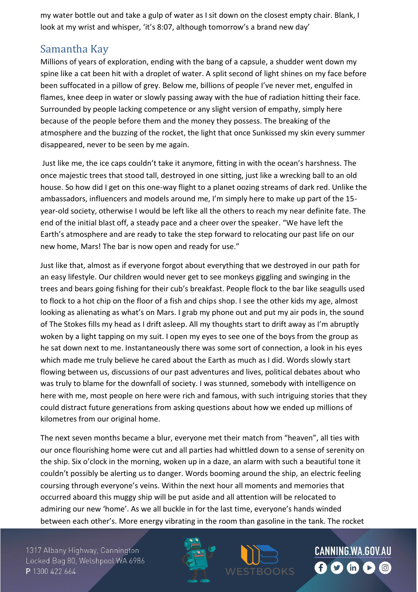my water bottle out and take a gulp of water as I sit down on the closest empty chair. Blank, I look at my wrist and whisper, 'it's 8:07, although tomorrow's a brand new day'

## Samantha Kay

Millions of years of exploration, ending with the bang of a capsule, a shudder went down my spine like a cat been hit with a droplet of water. A split second of light shines on my face before been suffocated in a pillow of grey. Below me, billions of people I've never met, engulfed in flames, knee deep in water or slowly passing away with the hue of radiation hitting their face. Surrounded by people lacking competence or any slight version of empathy, simply here because of the people before them and the money they possess. The breaking of the atmosphere and the buzzing of the rocket, the light that once Sunkissed my skin every summer disappeared, never to be seen by me again.

Just like me, the ice caps couldn't take it anymore, fitting in with the ocean's harshness. The once majestic trees that stood tall, destroyed in one sitting, just like a wrecking ball to an old house. So how did I get on this one-way flight to a planet oozing streams of dark red. Unlike the ambassadors, influencers and models around me, I'm simply here to make up part of the 15 year-old society, otherwise I would be left like all the others to reach my near definite fate. The end of the initial blast off, a steady pace and a cheer over the speaker. "We have left the Earth's atmosphere and are ready to take the step forward to relocating our past life on our new home, Mars! The bar is now open and ready for use."

Just like that, almost as if everyone forgot about everything that we destroyed in our path for an easy lifestyle. Our children would never get to see monkeys giggling and swinging in the trees and bears going fishing for their cub's breakfast. People flock to the bar like seagulls used to flock to a hot chip on the floor of a fish and chips shop. I see the other kids my age, almost looking as alienating as what's on Mars. I grab my phone out and put my air pods in, the sound of The Stokes fills my head as I drift asleep. All my thoughts start to drift away as I'm abruptly woken by a light tapping on my suit. I open my eyes to see one of the boys from the group as he sat down next to me. Instantaneously there was some sort of connection, a look in his eyes which made me truly believe he cared about the Earth as much as I did. Words slowly start flowing between us, discussions of our past adventures and lives, political debates about who was truly to blame for the downfall of society. I was stunned, somebody with intelligence on here with me, most people on here were rich and famous, with such intriguing stories that they could distract future generations from asking questions about how we ended up millions of kilometres from our original home.

The next seven months became a blur, everyone met their match from "heaven", all ties with our once flourishing home were cut and all parties had whittled down to a sense of serenity on the ship. Six o'clock in the morning, woken up in a daze, an alarm with such a beautiful tone it couldn't possibly be alerting us to danger. Words booming around the ship, an electric feeling coursing through everyone's veins. Within the next hour all moments and memories that occurred aboard this muggy ship will be put aside and all attention will be relocated to admiring our new 'home'. As we all buckle in for the last time, everyone's hands winded between each other's. More energy vibrating in the room than gasoline in the tank. The rocket

1317 Albany Highway, Cannington Locked Bag 80, Welshpool WA 6986 P 1300 422 664



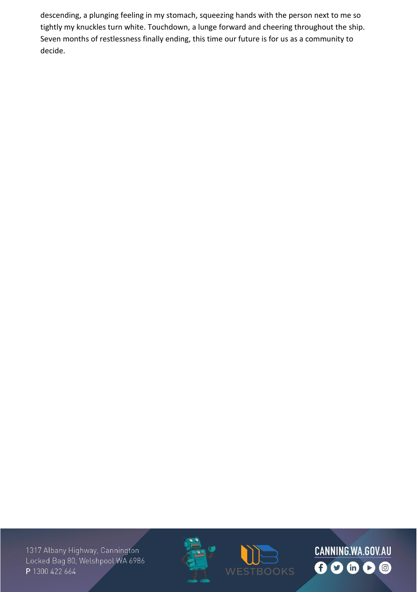descending, a plunging feeling in my stomach, squeezing hands with the person next to me so tightly my knuckles turn white. Touchdown, a lunge forward and cheering throughout the ship. Seven months of restlessness finally ending, this time our future is for us as a community to decide.





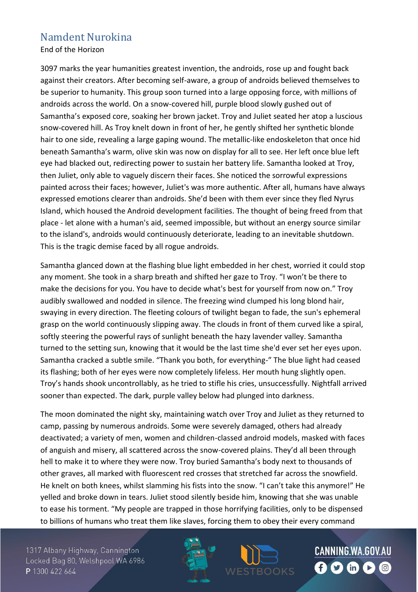## Namdent Nurokina

End of the Horizon

3097 marks the year humanities greatest invention, the androids, rose up and fought back against their creators. After becoming self-aware, a group of androids believed themselves to be superior to humanity. This group soon turned into a large opposing force, with millions of androids across the world. On a snow-covered hill, purple blood slowly gushed out of Samantha's exposed core, soaking her brown jacket. Troy and Juliet seated her atop a luscious snow-covered hill. As Troy knelt down in front of her, he gently shifted her synthetic blonde hair to one side, revealing a large gaping wound. The metallic-like endoskeleton that once hid beneath Samantha's warm, olive skin was now on display for all to see. Her left once blue left eye had blacked out, redirecting power to sustain her battery life. Samantha looked at Troy, then Juliet, only able to vaguely discern their faces. She noticed the sorrowful expressions painted across their faces; however, Juliet's was more authentic. After all, humans have always expressed emotions clearer than androids. She'd been with them ever since they fled Nyrus Island, which housed the Android development facilities. The thought of being freed from that place - let alone with a human's aid, seemed impossible, but without an energy source similar to the island's, androids would continuously deteriorate, leading to an inevitable shutdown. This is the tragic demise faced by all rogue androids.

Samantha glanced down at the flashing blue light embedded in her chest, worried it could stop any moment. She took in a sharp breath and shifted her gaze to Troy. "I won't be there to make the decisions for you. You have to decide what's best for yourself from now on." Troy audibly swallowed and nodded in silence. The freezing wind clumped his long blond hair, swaying in every direction. The fleeting colours of twilight began to fade, the sun's ephemeral grasp on the world continuously slipping away. The clouds in front of them curved like a spiral, softly steering the powerful rays of sunlight beneath the hazy lavender valley. Samantha turned to the setting sun, knowing that it would be the last time she'd ever set her eyes upon. Samantha cracked a subtle smile. "Thank you both, for everything-" The blue light had ceased its flashing; both of her eyes were now completely lifeless. Her mouth hung slightly open. Troy's hands shook uncontrollably, as he tried to stifle his cries, unsuccessfully. Nightfall arrived sooner than expected. The dark, purple valley below had plunged into darkness.

The moon dominated the night sky, maintaining watch over Troy and Juliet as they returned to camp, passing by numerous androids. Some were severely damaged, others had already deactivated; a variety of men, women and children-classed android models, masked with faces of anguish and misery, all scattered across the snow-covered plains. They'd all been through hell to make it to where they were now. Troy buried Samantha's body next to thousands of other graves, all marked with fluorescent red crosses that stretched far across the snowfield. He knelt on both knees, whilst slamming his fists into the snow. "I can't take this anymore!" He yelled and broke down in tears. Juliet stood silently beside him, knowing that she was unable to ease his torment. "My people are trapped in those horrifying facilities, only to be dispensed to billions of humans who treat them like slaves, forcing them to obey their every command

1317 Albany Highway, Cannington Locked Bag 80, Welshpool WA 6986 P 1300 422 664



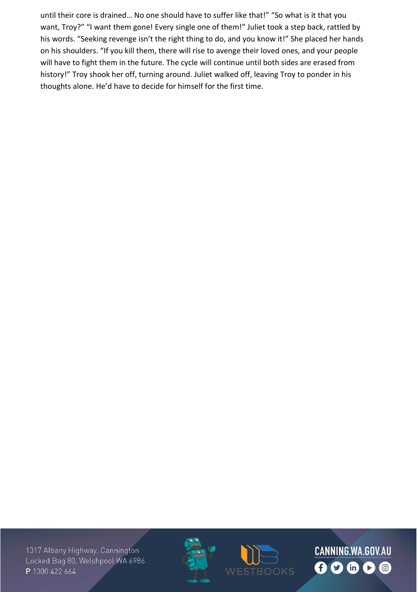until their core is drained… No one should have to suffer like that!" "So what is it that you want, Troy?" "I want them gone! Every single one of them!" Juliet took a step back, rattled by his words. "Seeking revenge isn't the right thing to do, and you know it!" She placed her hands on his shoulders. "If you kill them, there will rise to avenge their loved ones, and your people will have to fight them in the future. The cycle will continue until both sides are erased from history!" Troy shook her off, turning around. Juliet walked off, leaving Troy to ponder in his thoughts alone. He'd have to decide for himself for the first time.





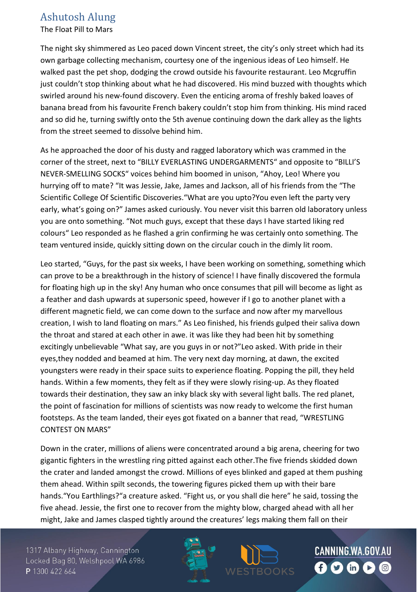## Ashutosh Alung

The Float Pill to Mars

The night sky shimmered as Leo paced down Vincent street, the city's only street which had its own garbage collecting mechanism, courtesy one of the ingenious ideas of Leo himself. He walked past the pet shop, dodging the crowd outside his favourite restaurant. Leo Mcgruffin just couldn't stop thinking about what he had discovered. His mind buzzed with thoughts which swirled around his new-found discovery. Even the enticing aroma of freshly baked loaves of banana bread from his favourite French bakery couldn't stop him from thinking. His mind raced and so did he, turning swiftly onto the 5th avenue continuing down the dark alley as the lights from the street seemed to dissolve behind him.

As he approached the door of his dusty and ragged laboratory which was crammed in the corner of the street, next to "BILLY EVERLASTING UNDERGARMENTS" and opposite to "BILLI'S NEVER-SMELLING SOCKS" voices behind him boomed in unison, "Ahoy, Leo! Where you hurrying off to mate? "It was Jessie, Jake, James and Jackson, all of his friends from the "The Scientific College Of Scientific Discoveries."What are you upto?You even left the party very early, what's going on?" James asked curiously. You never visit this barren old laboratory unless you are onto something. "Not much guys, except that these days I have started liking red colours" Leo responded as he flashed a grin confirming he was certainly onto something. The team ventured inside, quickly sitting down on the circular couch in the dimly lit room.

Leo started, "Guys, for the past six weeks, I have been working on something, something which can prove to be a breakthrough in the history of science! I have finally discovered the formula for floating high up in the sky! Any human who once consumes that pill will become as light as a feather and dash upwards at supersonic speed, however if I go to another planet with a different magnetic field, we can come down to the surface and now after my marvellous creation, I wish to land floating on mars." As Leo finished, his friends gulped their saliva down the throat and stared at each other in awe. it was like they had been hit by something excitingly unbelievable "What say, are you guys in or not?"Leo asked. With pride in their eyes,they nodded and beamed at him. The very next day morning, at dawn, the excited youngsters were ready in their space suits to experience floating. Popping the pill, they held hands. Within a few moments, they felt as if they were slowly rising-up. As they floated towards their destination, they saw an inky black sky with several light balls. The red planet, the point of fascination for millions of scientists was now ready to welcome the first human footsteps. As the team landed, their eyes got fixated on a banner that read, "WRESTLING CONTEST ON MARS"

Down in the crater, millions of aliens were concentrated around a big arena, cheering for two gigantic fighters in the wrestling ring pitted against each other.The five friends skidded down the crater and landed amongst the crowd. Millions of eyes blinked and gaped at them pushing them ahead. Within spilt seconds, the towering figures picked them up with their bare hands."You Earthlings?"a creature asked. "Fight us, or you shall die here" he said, tossing the five ahead. Jessie, the first one to recover from the mighty blow, charged ahead with all her might, Jake and James clasped tightly around the creatures' legs making them fall on their

1317 Albany Highway, Cannington Locked Bag 80, Welshpool WA 6986 P 1300 422 664